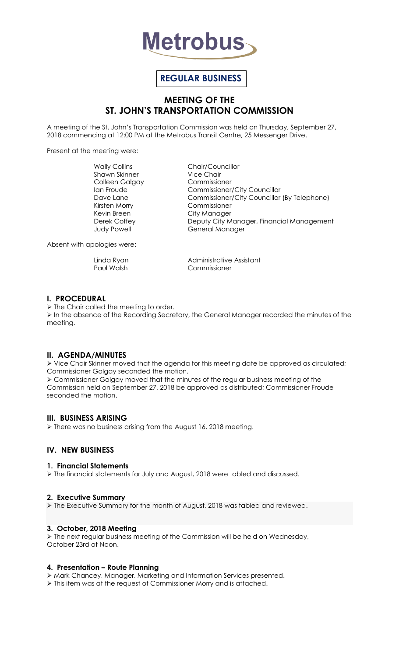

# **REGULAR BUSINESS**

# **MEETING OF THE ST. JOHN'S TRANSPORTATION COMMISSION**

A meeting of the St. John's Transportation Commission was held on Thursday, September 27, 2018 commencing at 12:00 PM at the Metrobus Transit Centre, 25 Messenger Drive.

Present at the meeting were:

Shawn Skinner Vice Chair Colleen Galgay Commissioner Kirsten Morry Commissioner Kevin Breen City Manager

Wally Collins Chair/Councillor Ian Froude Commissioner/City Councillor Dave Lane Commissioner/City Councillor (By Telephone) Derek Coffey **Deputy City Manager, Financial Management** Judy Powell **General Manager** 

Absent with apologies were:

Linda Ryan **Administrative Assistant** Paul Walsh Commissioner

#### **I. PROCEDURAL**

 $\triangleright$  The Chair called the meeting to order.

 $\triangleright$  In the absence of the Recording Secretary, the General Manager recorded the minutes of the meeting.

#### **II. AGENDA/MINUTES**

 Vice Chair Skinner moved that the agenda for this meeting date be approved as circulated; Commissioner Galgay seconded the motion.

 Commissioner Galgay moved that the minutes of the regular business meeting of the Commission held on September 27, 2018 be approved as distributed; Commissioner Froude seconded the motion.

## **III. BUSINESS ARISING**

There was no business arising from the August 16, 2018 meeting.

## **IV. NEW BUSINESS**

#### **1. Financial Statements**

 $\triangleright$  The financial statements for July and August, 2018 were tabled and discussed.

#### **2. Executive Summary**

The Executive Summary for the month of August, 2018 was tabled and reviewed.

#### **3. October, 2018 Meeting**

 The next regular business meeting of the Commission will be held on Wednesday, October 23rd at Noon.

#### **4. Presentation – Route Planning**

Mark Chancey, Manager, Marketing and Information Services presented.

> This item was at the request of Commissioner Morry and is attached.